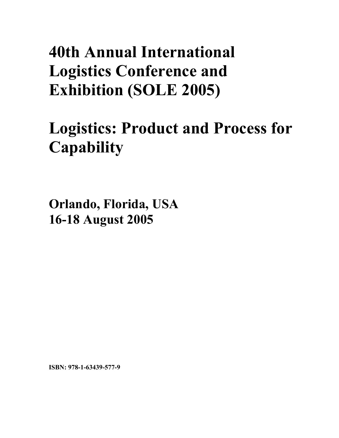# **40th Annual International Logistics Conference and Exhibition (SOLE 2005)**

# **Logistics: Product and Process for Capability**

**Orlando, Florida, USA 16-18 August 2005**

**ISBN: 978-1-63439-577-9**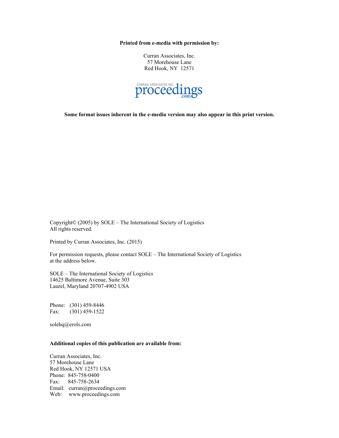**Printed from e-media with permission by:** 

Curran Associates, Inc. 57 Morehouse Lane Red Hook, NY 12571



**Some format issues inherent in the e-media version may also appear in this print version.** 

Copyright© (2005) by SOLE – The International Society of Logistics All rights reserved.

Printed by Curran Associates, Inc. (2015)

For permission requests, please contact SOLE – The International Society of Logistics at the address below.

SOLE – The International Society of Logistics 14625 Baltimore Avenue, Suite 303 Laurel, Maryland 20707-4902 USA

Phone: (301) 459-8446 Fax: (301) 459-1522

solehq@erols.com

### **Additional copies of this publication are available from:**

Curran Associates, Inc. 57 Morehouse Lane Red Hook, NY 12571 USA Phone: 845-758-0400 Fax: 845-758-2634 Email: curran@proceedings.com Web: www.proceedings.com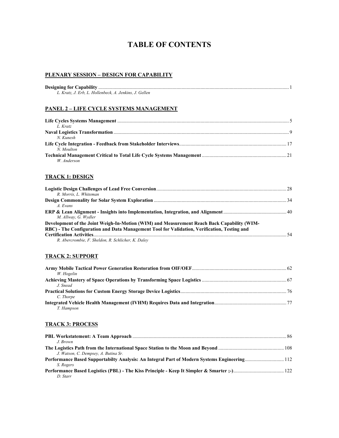# **TABLE OF CONTENTS**

### **PLENARY SESSION – DESIGN FOR CAPABILITY**

| L. Kratz, J. Erb, L. Hollenbeck, A. Jenkins, J. Gellen |  |
|--------------------------------------------------------|--|

#### **PANEL 2 – LIFE CYCLE SYSTEMS MANAGEMENT**

| L. Kratz   |  |
|------------|--|
|            |  |
| $N$ Kunesh |  |
|            |  |
| N Moulton  |  |
|            |  |
| W Anderson |  |

### **TRACK 1: DESIGN**

| R. Morris. L. Whiteman                                                                      |  |
|---------------------------------------------------------------------------------------------|--|
|                                                                                             |  |
| A. Evans                                                                                    |  |
|                                                                                             |  |
| M. Allway, G. Wydler                                                                        |  |
| Development of the Joint Weigh-In-Motion (WIM) and Measurement Reach Back Capability (WIM-  |  |
| RBC) - The Configuration and Data Management Tool for Validation, Verification, Testing and |  |
|                                                                                             |  |
| R. Abercrombie, F. Sheldon, R. Schlicher, K. Daley                                          |  |

#### **TRACK 2: SUPPORT**

| W. Hogelin |  |
|------------|--|
|            |  |
| J. Snead   |  |
|            |  |
| C. Thorpe  |  |
|            |  |
| T. Hampson |  |

#### **TRACK 3: PROCESS**

| J. Brown                                                                                    |  |
|---------------------------------------------------------------------------------------------|--|
|                                                                                             |  |
| J. Watson, C. Dempsey, A. Butina Sr.                                                        |  |
| Performance Based Supportabilty Analysis: An Integral Part of Modern Systems Engineering112 |  |
| S. Rogers                                                                                   |  |
|                                                                                             |  |
| D. Starr                                                                                    |  |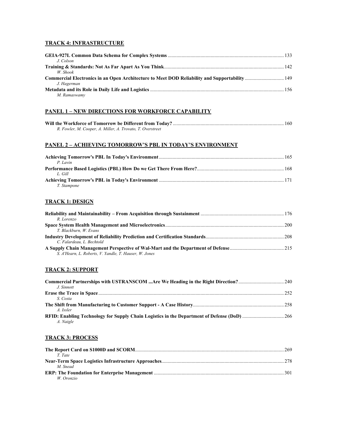### **TRACK 4: INFRASTRUCTURE**

| J. Colson    |  |
|--------------|--|
|              |  |
| W Shook      |  |
|              |  |
| J. Hagerman  |  |
|              |  |
| M. Ramaswamv |  |

### **PANEL 1 – NEW DIRECTIONS FOR WORKFORCE CAPABILITY**

| R. Fowler, M. Cooper, A. Miller, A. Trovato, T. Overstreet |  |
|------------------------------------------------------------|--|

### **PANEL 2 – ACHIEVING TOMORROW'S PBL IN TODAY'S ENVIRONMENT**

| P. Lavin    |  |
|-------------|--|
|             |  |
| L. Gill     |  |
|             |  |
| T. Stampone |  |

### **TRACK 1: DESIGN**

| R. Lorenzo                                             |  |
|--------------------------------------------------------|--|
|                                                        |  |
| T. Blackburn, W. Evans                                 |  |
|                                                        |  |
| C. Falardeau, L. Bechtold                              |  |
|                                                        |  |
| S. A'Hearn, L. Roberts, V. Yandle, T. Hauser, W. Jones |  |

### **TRACK 2: SUPPORT**

| J. Sinnott |  |
|------------|--|
|            |  |
| S. Costa   |  |
|            |  |
| A. Issler  |  |
|            |  |
| A. Naigle  |  |

### **TRACK 3: PROCESS**

| T Tate                                                                                                                |  |
|-----------------------------------------------------------------------------------------------------------------------|--|
|                                                                                                                       |  |
| M Snead                                                                                                               |  |
| <b>ERP: The Foundation for Enterprise Management manufacture in the control of the Captain Control of the Captain</b> |  |
| W Oronzio                                                                                                             |  |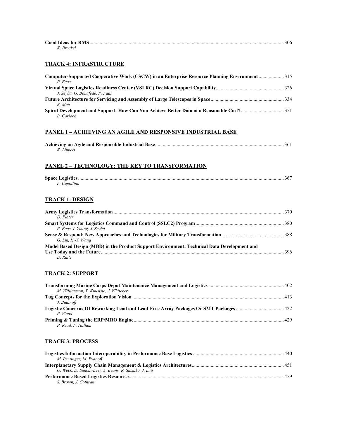| <b>Good Ideas for RMS.</b> | 306 |
|----------------------------|-----|
| K. Brockel                 |     |

### **TRACK 4: INFRASTRUCTURE**

| <b>Computer-Supported Cooperative Work (CSCW) in an Enterprise Resource Planning Environment  315</b> |  |
|-------------------------------------------------------------------------------------------------------|--|
| P. Faas                                                                                               |  |
|                                                                                                       |  |
| J. Seyba, G. Bonafede, P. Faas                                                                        |  |
|                                                                                                       |  |
| R. Moe                                                                                                |  |
|                                                                                                       |  |
| B. Carlock                                                                                            |  |

#### **PANEL 1 – ACHIEVING AN AGILE AND RESPONSIVE INDUSTRIAL BASE**

| K. Lippert |  |
|------------|--|

#### **PANEL 2 – TECHNOLOGY: THE KEY TO TRANSFORMATION**

| F. Cepollina |  |
|--------------|--|

# **TRACK 1: DESIGN**

| D Plater                                                                                    |  |
|---------------------------------------------------------------------------------------------|--|
|                                                                                             |  |
| P. Faas, I. Young, J. Seyba                                                                 |  |
|                                                                                             |  |
| $G.$ Lin, K.-Y. Wang                                                                        |  |
| Model Based Design (MBD) in the Product Support Environment: Technical Data Development and |  |
|                                                                                             |  |
| D Raitz                                                                                     |  |

### **TRACK 2: SUPPORT**

| M. Williamson, T. Kuusisto, J. Whiteker |  |
|-----------------------------------------|--|
|                                         |  |
| J. Budinoff                             |  |
|                                         |  |
| P Wood                                  |  |
|                                         |  |
| P. Read. F. Hallam                      |  |

# **TRACK 3: PROCESS**

| M. Persinger, M. Evanoff                               |  |
|--------------------------------------------------------|--|
|                                                        |  |
| O. Weck, D. Simchi-Levi, A. Evans, R. Shishko, J. Luis |  |
|                                                        |  |
| S. Brown. J. Cothran                                   |  |